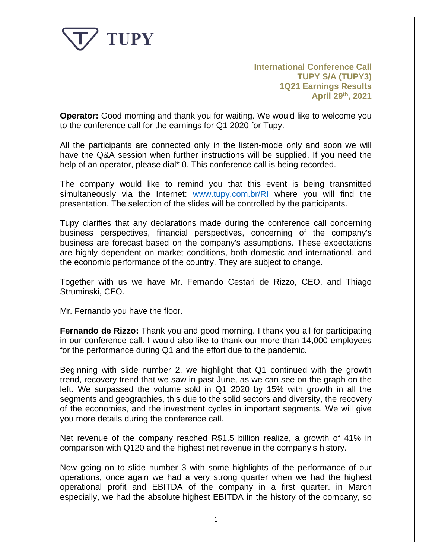

**International Conference Call TUPY S/A (TUPY3) 1Q21 Earnings Results April 29th , 2021**

**Operator:** Good morning and thank you for waiting. We would like to welcome you to the conference call for the earnings for Q1 2020 for Tupy.

All the participants are connected only in the listen-mode only and soon we will have the Q&A session when further instructions will be supplied. If you need the help of an operator, please dial\* 0. This conference call is being recorded.

The company would like to remind you that this event is being transmitted simultaneously via the Internet: [www.tupy.com.br/RI](http://www.tupy.com.br/RI) where you will find the presentation. The selection of the slides will be controlled by the participants.

Tupy clarifies that any declarations made during the conference call concerning business perspectives, financial perspectives, concerning of the company's business are forecast based on the company's assumptions. These expectations are highly dependent on market conditions, both domestic and international, and the economic performance of the country. They are subject to change.

Together with us we have Mr. Fernando Cestari de Rizzo, CEO, and Thiago Struminski, CFO.

Mr. Fernando you have the floor.

**Fernando de Rizzo:** Thank you and good morning. I thank you all for participating in our conference call. I would also like to thank our more than 14,000 employees for the performance during Q1 and the effort due to the pandemic.

Beginning with slide number 2, we highlight that Q1 continued with the growth trend, recovery trend that we saw in past June, as we can see on the graph on the left. We surpassed the volume sold in Q1 2020 by 15% with growth in all the segments and geographies, this due to the solid sectors and diversity, the recovery of the economies, and the investment cycles in important segments. We will give you more details during the conference call.

Net revenue of the company reached R\$1.5 billion realize, a growth of 41% in comparison with Q120 and the highest net revenue in the company's history.

Now going on to slide number 3 with some highlights of the performance of our operations, once again we had a very strong quarter when we had the highest operational profit and EBITDA of the company in a first quarter. in March especially, we had the absolute highest EBITDA in the history of the company, so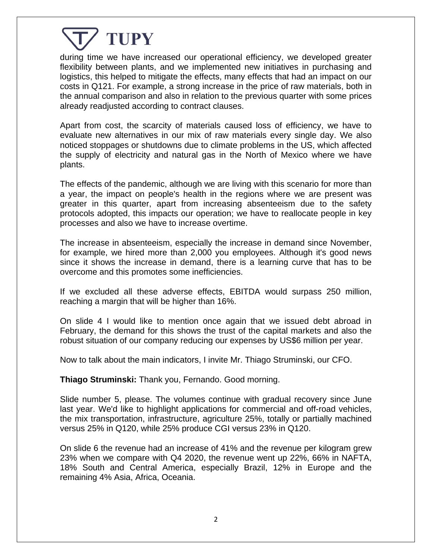

during time we have increased our operational efficiency, we developed greater flexibility between plants, and we implemented new initiatives in purchasing and logistics, this helped to mitigate the effects, many effects that had an impact on our costs in Q121. For example, a strong increase in the price of raw materials, both in the annual comparison and also in relation to the previous quarter with some prices already readjusted according to contract clauses.

Apart from cost, the scarcity of materials caused loss of efficiency, we have to evaluate new alternatives in our mix of raw materials every single day. We also noticed stoppages or shutdowns due to climate problems in the US, which affected the supply of electricity and natural gas in the North of Mexico where we have plants.

The effects of the pandemic, although we are living with this scenario for more than a year, the impact on people's health in the regions where we are present was greater in this quarter, apart from increasing absenteeism due to the safety protocols adopted, this impacts our operation; we have to reallocate people in key processes and also we have to increase overtime.

The increase in absenteeism, especially the increase in demand since November, for example, we hired more than 2,000 you employees. Although it's good news since it shows the increase in demand, there is a learning curve that has to be overcome and this promotes some inefficiencies.

If we excluded all these adverse effects, EBITDA would surpass 250 million, reaching a margin that will be higher than 16%.

On slide 4 I would like to mention once again that we issued debt abroad in February, the demand for this shows the trust of the capital markets and also the robust situation of our company reducing our expenses by US\$6 million per year.

Now to talk about the main indicators, I invite Mr. Thiago Struminski, our CFO.

**Thiago Struminski:** Thank you, Fernando. Good morning.

Slide number 5, please. The volumes continue with gradual recovery since June last year. We'd like to highlight applications for commercial and off-road vehicles, the mix transportation, infrastructure, agriculture 25%, totally or partially machined versus 25% in Q120, while 25% produce CGI versus 23% in Q120.

On slide 6 the revenue had an increase of 41% and the revenue per kilogram grew 23% when we compare with Q4 2020, the revenue went up 22%, 66% in NAFTA, 18% South and Central America, especially Brazil, 12% in Europe and the remaining 4% Asia, Africa, Oceania.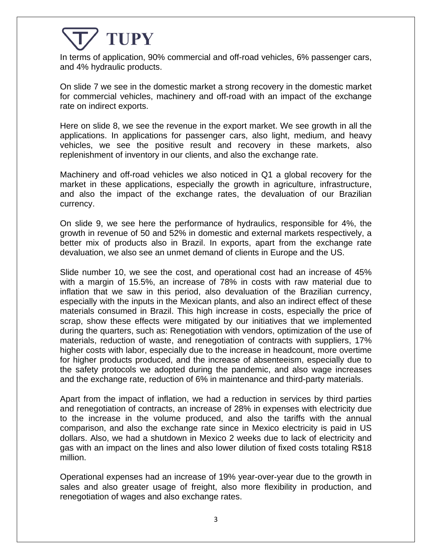In terms of application, 90% commercial and off-road vehicles, 6% passenger cars, and 4% hydraulic products.

On slide 7 we see in the domestic market a strong recovery in the domestic market for commercial vehicles, machinery and off-road with an impact of the exchange rate on indirect exports.

Here on slide 8, we see the revenue in the export market. We see growth in all the applications. In applications for passenger cars, also light, medium, and heavy vehicles, we see the positive result and recovery in these markets, also replenishment of inventory in our clients, and also the exchange rate.

Machinery and off-road vehicles we also noticed in Q1 a global recovery for the market in these applications, especially the growth in agriculture, infrastructure, and also the impact of the exchange rates, the devaluation of our Brazilian currency.

On slide 9, we see here the performance of hydraulics, responsible for 4%, the growth in revenue of 50 and 52% in domestic and external markets respectively, a better mix of products also in Brazil. In exports, apart from the exchange rate devaluation, we also see an unmet demand of clients in Europe and the US.

Slide number 10, we see the cost, and operational cost had an increase of 45% with a margin of 15.5%, an increase of 78% in costs with raw material due to inflation that we saw in this period, also devaluation of the Brazilian currency, especially with the inputs in the Mexican plants, and also an indirect effect of these materials consumed in Brazil. This high increase in costs, especially the price of scrap, show these effects were mitigated by our initiatives that we implemented during the quarters, such as: Renegotiation with vendors, optimization of the use of materials, reduction of waste, and renegotiation of contracts with suppliers, 17% higher costs with labor, especially due to the increase in headcount, more overtime for higher products produced, and the increase of absenteeism, especially due to the safety protocols we adopted during the pandemic, and also wage increases and the exchange rate, reduction of 6% in maintenance and third-party materials.

Apart from the impact of inflation, we had a reduction in services by third parties and renegotiation of contracts, an increase of 28% in expenses with electricity due to the increase in the volume produced, and also the tariffs with the annual comparison, and also the exchange rate since in Mexico electricity is paid in US dollars. Also, we had a shutdown in Mexico 2 weeks due to lack of electricity and gas with an impact on the lines and also lower dilution of fixed costs totaling R\$18 million.

Operational expenses had an increase of 19% year-over-year due to the growth in sales and also greater usage of freight, also more flexibility in production, and renegotiation of wages and also exchange rates.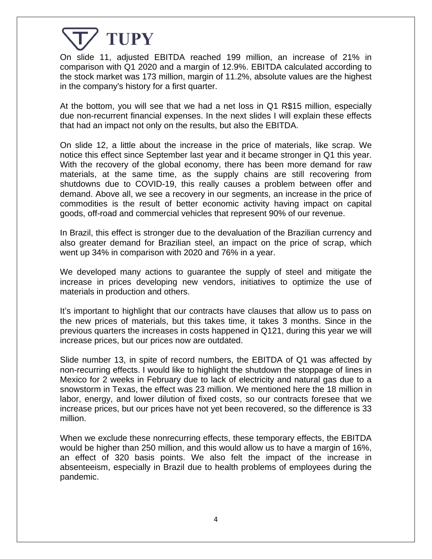On slide 11, adjusted EBITDA reached 199 million, an increase of 21% in comparison with Q1 2020 and a margin of 12.9%. EBITDA calculated according to the stock market was 173 million, margin of 11.2%, absolute values are the highest in the company's history for a first quarter.

At the bottom, you will see that we had a net loss in Q1 R\$15 million, especially due non-recurrent financial expenses. In the next slides I will explain these effects that had an impact not only on the results, but also the EBITDA.

On slide 12, a little about the increase in the price of materials, like scrap. We notice this effect since September last year and it became stronger in Q1 this year. With the recovery of the global economy, there has been more demand for raw materials, at the same time, as the supply chains are still recovering from shutdowns due to COVID-19, this really causes a problem between offer and demand. Above all, we see a recovery in our segments, an increase in the price of commodities is the result of better economic activity having impact on capital goods, off-road and commercial vehicles that represent 90% of our revenue.

In Brazil, this effect is stronger due to the devaluation of the Brazilian currency and also greater demand for Brazilian steel, an impact on the price of scrap, which went up 34% in comparison with 2020 and 76% in a year.

We developed many actions to guarantee the supply of steel and mitigate the increase in prices developing new vendors, initiatives to optimize the use of materials in production and others.

It's important to highlight that our contracts have clauses that allow us to pass on the new prices of materials, but this takes time, it takes 3 months. Since in the previous quarters the increases in costs happened in Q121, during this year we will increase prices, but our prices now are outdated.

Slide number 13, in spite of record numbers, the EBITDA of Q1 was affected by non-recurring effects. I would like to highlight the shutdown the stoppage of lines in Mexico for 2 weeks in February due to lack of electricity and natural gas due to a snowstorm in Texas, the effect was 23 million. We mentioned here the 18 million in labor, energy, and lower dilution of fixed costs, so our contracts foresee that we increase prices, but our prices have not yet been recovered, so the difference is 33 million.

When we exclude these nonrecurring effects, these temporary effects, the EBITDA would be higher than 250 million, and this would allow us to have a margin of 16%, an effect of 320 basis points. We also felt the impact of the increase in absenteeism, especially in Brazil due to health problems of employees during the pandemic.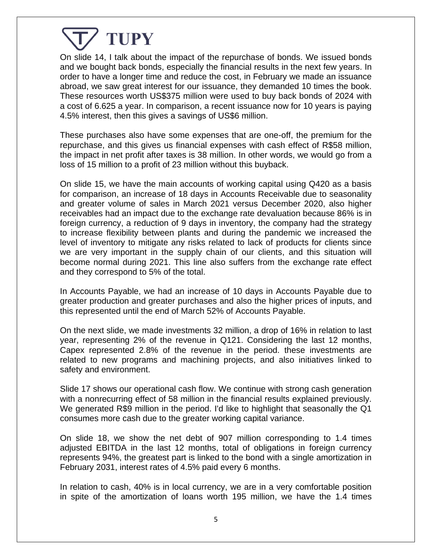On slide 14, I talk about the impact of the repurchase of bonds. We issued bonds and we bought back bonds, especially the financial results in the next few years. In order to have a longer time and reduce the cost, in February we made an issuance abroad, we saw great interest for our issuance, they demanded 10 times the book. These resources worth US\$375 million were used to buy back bonds of 2024 with a cost of 6.625 a year. In comparison, a recent issuance now for 10 years is paying 4.5% interest, then this gives a savings of US\$6 million.

These purchases also have some expenses that are one-off, the premium for the repurchase, and this gives us financial expenses with cash effect of R\$58 million, the impact in net profit after taxes is 38 million. In other words, we would go from a loss of 15 million to a profit of 23 million without this buyback.

On slide 15, we have the main accounts of working capital using Q420 as a basis for comparison, an increase of 18 days in Accounts Receivable due to seasonality and greater volume of sales in March 2021 versus December 2020, also higher receivables had an impact due to the exchange rate devaluation because 86% is in foreign currency, a reduction of 9 days in inventory, the company had the strategy to increase flexibility between plants and during the pandemic we increased the level of inventory to mitigate any risks related to lack of products for clients since we are very important in the supply chain of our clients, and this situation will become normal during 2021. This line also suffers from the exchange rate effect and they correspond to 5% of the total.

In Accounts Payable, we had an increase of 10 days in Accounts Payable due to greater production and greater purchases and also the higher prices of inputs, and this represented until the end of March 52% of Accounts Payable.

On the next slide, we made investments 32 million, a drop of 16% in relation to last year, representing 2% of the revenue in Q121. Considering the last 12 months, Capex represented 2.8% of the revenue in the period. these investments are related to new programs and machining projects, and also initiatives linked to safety and environment.

Slide 17 shows our operational cash flow. We continue with strong cash generation with a nonrecurring effect of 58 million in the financial results explained previously. We generated R\$9 million in the period. I'd like to highlight that seasonally the Q1 consumes more cash due to the greater working capital variance.

On slide 18, we show the net debt of 907 million corresponding to 1.4 times adjusted EBITDA in the last 12 months, total of obligations in foreign currency represents 94%, the greatest part is linked to the bond with a single amortization in February 2031, interest rates of 4.5% paid every 6 months.

In relation to cash, 40% is in local currency, we are in a very comfortable position in spite of the amortization of loans worth 195 million, we have the 1.4 times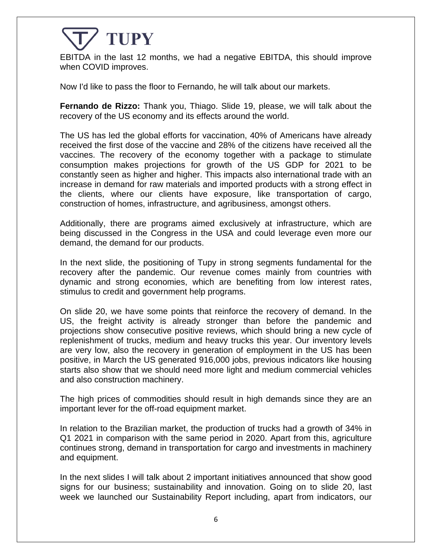

EBITDA in the last 12 months, we had a negative EBITDA, this should improve when COVID improves.

Now I'd like to pass the floor to Fernando, he will talk about our markets.

**Fernando de Rizzo:** Thank you, Thiago. Slide 19, please, we will talk about the recovery of the US economy and its effects around the world.

The US has led the global efforts for vaccination, 40% of Americans have already received the first dose of the vaccine and 28% of the citizens have received all the vaccines. The recovery of the economy together with a package to stimulate consumption makes projections for growth of the US GDP for 2021 to be constantly seen as higher and higher. This impacts also international trade with an increase in demand for raw materials and imported products with a strong effect in the clients, where our clients have exposure, like transportation of cargo, construction of homes, infrastructure, and agribusiness, amongst others.

Additionally, there are programs aimed exclusively at infrastructure, which are being discussed in the Congress in the USA and could leverage even more our demand, the demand for our products.

In the next slide, the positioning of Tupy in strong segments fundamental for the recovery after the pandemic. Our revenue comes mainly from countries with dynamic and strong economies, which are benefiting from low interest rates, stimulus to credit and government help programs.

On slide 20, we have some points that reinforce the recovery of demand. In the US, the freight activity is already stronger than before the pandemic and projections show consecutive positive reviews, which should bring a new cycle of replenishment of trucks, medium and heavy trucks this year. Our inventory levels are very low, also the recovery in generation of employment in the US has been positive, in March the US generated 916,000 jobs, previous indicators like housing starts also show that we should need more light and medium commercial vehicles and also construction machinery.

The high prices of commodities should result in high demands since they are an important lever for the off-road equipment market.

In relation to the Brazilian market, the production of trucks had a growth of 34% in Q1 2021 in comparison with the same period in 2020. Apart from this, agriculture continues strong, demand in transportation for cargo and investments in machinery and equipment.

In the next slides I will talk about 2 important initiatives announced that show good signs for our business; sustainability and innovation. Going on to slide 20, last week we launched our Sustainability Report including, apart from indicators, our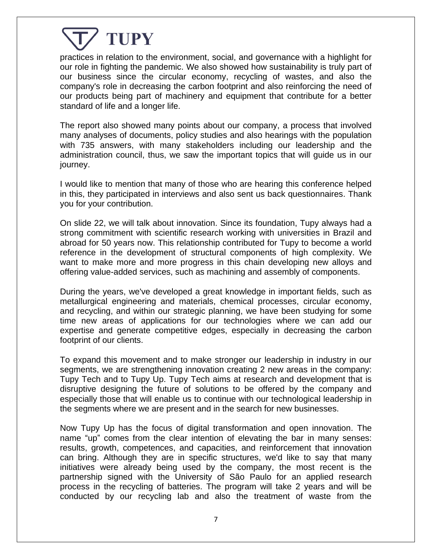

practices in relation to the environment, social, and governance with a highlight for our role in fighting the pandemic. We also showed how sustainability is truly part of our business since the circular economy, recycling of wastes, and also the company's role in decreasing the carbon footprint and also reinforcing the need of our products being part of machinery and equipment that contribute for a better standard of life and a longer life.

The report also showed many points about our company, a process that involved many analyses of documents, policy studies and also hearings with the population with 735 answers, with many stakeholders including our leadership and the administration council, thus, we saw the important topics that will guide us in our journey.

I would like to mention that many of those who are hearing this conference helped in this, they participated in interviews and also sent us back questionnaires. Thank you for your contribution.

On slide 22, we will talk about innovation. Since its foundation, Tupy always had a strong commitment with scientific research working with universities in Brazil and abroad for 50 years now. This relationship contributed for Tupy to become a world reference in the development of structural components of high complexity. We want to make more and more progress in this chain developing new alloys and offering value-added services, such as machining and assembly of components.

During the years, we've developed a great knowledge in important fields, such as metallurgical engineering and materials, chemical processes, circular economy, and recycling, and within our strategic planning, we have been studying for some time new areas of applications for our technologies where we can add our expertise and generate competitive edges, especially in decreasing the carbon footprint of our clients.

To expand this movement and to make stronger our leadership in industry in our segments, we are strengthening innovation creating 2 new areas in the company: Tupy Tech and to Tupy Up. Tupy Tech aims at research and development that is disruptive designing the future of solutions to be offered by the company and especially those that will enable us to continue with our technological leadership in the segments where we are present and in the search for new businesses.

Now Tupy Up has the focus of digital transformation and open innovation. The name "up" comes from the clear intention of elevating the bar in many senses: results, growth, competences, and capacities, and reinforcement that innovation can bring. Although they are in specific structures, we'd like to say that many initiatives were already being used by the company, the most recent is the partnership signed with the University of São Paulo for an applied research process in the recycling of batteries. The program will take 2 years and will be conducted by our recycling lab and also the treatment of waste from the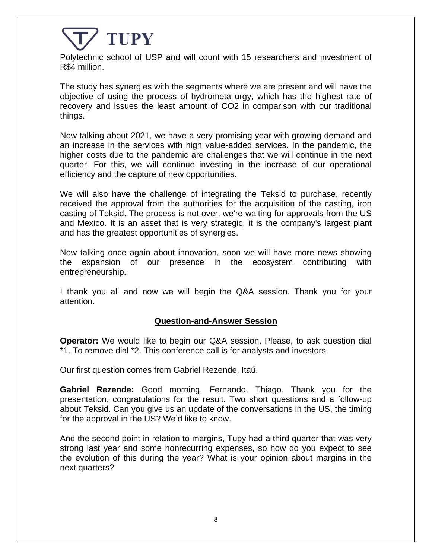

Polytechnic school of USP and will count with 15 researchers and investment of R\$4 million.

The study has synergies with the segments where we are present and will have the objective of using the process of hydrometallurgy, which has the highest rate of recovery and issues the least amount of CO2 in comparison with our traditional things.

Now talking about 2021, we have a very promising year with growing demand and an increase in the services with high value-added services. In the pandemic, the higher costs due to the pandemic are challenges that we will continue in the next quarter. For this, we will continue investing in the increase of our operational efficiency and the capture of new opportunities.

We will also have the challenge of integrating the Teksid to purchase, recently received the approval from the authorities for the acquisition of the casting, iron casting of Teksid. The process is not over, we're waiting for approvals from the US and Mexico. It is an asset that is very strategic, it is the company's largest plant and has the greatest opportunities of synergies.

Now talking once again about innovation, soon we will have more news showing the expansion of our presence in the ecosystem contributing with entrepreneurship.

I thank you all and now we will begin the Q&A session. Thank you for your attention.

#### **Question-and-Answer Session**

**Operator:** We would like to begin our Q&A session. Please, to ask question dial \*1. To remove dial \*2. This conference call is for analysts and investors.

Our first question comes from Gabriel Rezende, Itaú.

**Gabriel Rezende:** Good morning, Fernando, Thiago. Thank you for the presentation, congratulations for the result. Two short questions and a follow-up about Teksid. Can you give us an update of the conversations in the US, the timing for the approval in the US? We'd like to know.

And the second point in relation to margins, Tupy had a third quarter that was very strong last year and some nonrecurring expenses, so how do you expect to see the evolution of this during the year? What is your opinion about margins in the next quarters?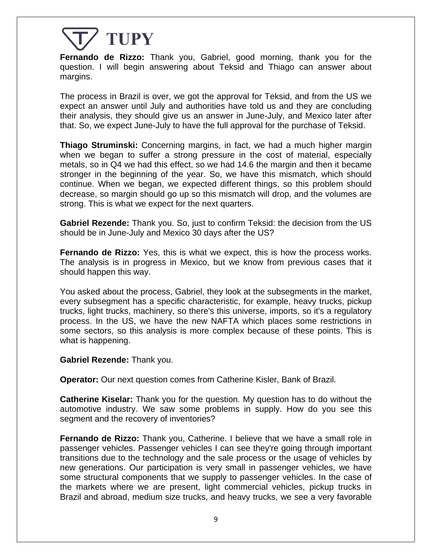

**Fernando de Rizzo:** Thank you, Gabriel, good morning, thank you for the question. I will begin answering about Teksid and Thiago can answer about margins.

The process in Brazil is over, we got the approval for Teksid, and from the US we expect an answer until July and authorities have told us and they are concluding their analysis, they should give us an answer in June-July, and Mexico later after that. So, we expect June-July to have the full approval for the purchase of Teksid.

**Thiago Struminski:** Concerning margins, in fact, we had a much higher margin when we began to suffer a strong pressure in the cost of material, especially metals, so in Q4 we had this effect, so we had 14.6 the margin and then it became stronger in the beginning of the year. So, we have this mismatch, which should continue. When we began, we expected different things, so this problem should decrease, so margin should go up so this mismatch will drop, and the volumes are strong. This is what we expect for the next quarters.

**Gabriel Rezende:** Thank you. So, just to confirm Teksid: the decision from the US should be in June-July and Mexico 30 days after the US?

**Fernando de Rizzo:** Yes, this is what we expect, this is how the process works. The analysis is in progress in Mexico, but we know from previous cases that it should happen this way.

You asked about the process, Gabriel, they look at the subsegments in the market, every subsegment has a specific characteristic, for example, heavy trucks, pickup trucks, light trucks, machinery, so there's this universe, imports, so it's a regulatory process. In the US, we have the new NAFTA which places some restrictions in some sectors, so this analysis is more complex because of these points. This is what is happening.

**Gabriel Rezende:** Thank you.

**Operator:** Our next question comes from Catherine Kisler, Bank of Brazil.

**Catherine Kiselar:** Thank you for the question. My question has to do without the automotive industry. We saw some problems in supply. How do you see this segment and the recovery of inventories?

**Fernando de Rizzo:** Thank you, Catherine. I believe that we have a small role in passenger vehicles. Passenger vehicles I can see they're going through important transitions due to the technology and the sale process or the usage of vehicles by new generations. Our participation is very small in passenger vehicles, we have some structural components that we supply to passenger vehicles. In the case of the markets where we are present, light commercial vehicles, pickup trucks in Brazil and abroad, medium size trucks, and heavy trucks, we see a very favorable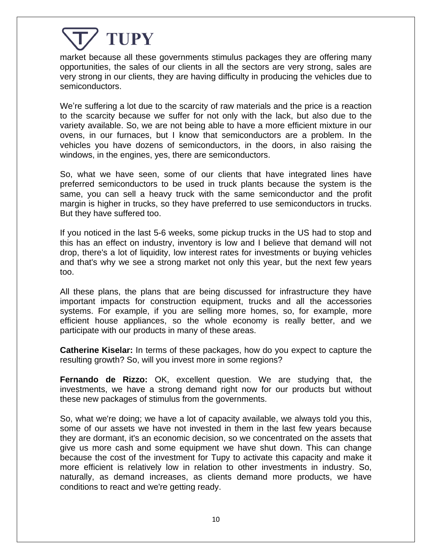market because all these governments stimulus packages they are offering many opportunities, the sales of our clients in all the sectors are very strong, sales are very strong in our clients, they are having difficulty in producing the vehicles due to semiconductors.

We're suffering a lot due to the scarcity of raw materials and the price is a reaction to the scarcity because we suffer for not only with the lack, but also due to the variety available. So, we are not being able to have a more efficient mixture in our ovens, in our furnaces, but I know that semiconductors are a problem. In the vehicles you have dozens of semiconductors, in the doors, in also raising the windows, in the engines, yes, there are semiconductors.

So, what we have seen, some of our clients that have integrated lines have preferred semiconductors to be used in truck plants because the system is the same, you can sell a heavy truck with the same semiconductor and the profit margin is higher in trucks, so they have preferred to use semiconductors in trucks. But they have suffered too.

If you noticed in the last 5-6 weeks, some pickup trucks in the US had to stop and this has an effect on industry, inventory is low and I believe that demand will not drop, there's a lot of liquidity, low interest rates for investments or buying vehicles and that's why we see a strong market not only this year, but the next few years too.

All these plans, the plans that are being discussed for infrastructure they have important impacts for construction equipment, trucks and all the accessories systems. For example, if you are selling more homes, so, for example, more efficient house appliances, so the whole economy is really better, and we participate with our products in many of these areas.

**Catherine Kiselar:** In terms of these packages, how do you expect to capture the resulting growth? So, will you invest more in some regions?

**Fernando de Rizzo:** OK, excellent question. We are studying that, the investments, we have a strong demand right now for our products but without these new packages of stimulus from the governments.

So, what we're doing; we have a lot of capacity available, we always told you this, some of our assets we have not invested in them in the last few years because they are dormant, it's an economic decision, so we concentrated on the assets that give us more cash and some equipment we have shut down. This can change because the cost of the investment for Tupy to activate this capacity and make it more efficient is relatively low in relation to other investments in industry. So, naturally, as demand increases, as clients demand more products, we have conditions to react and we're getting ready.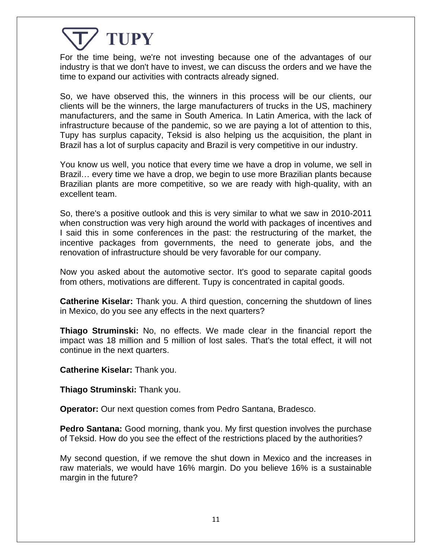For the time being, we're not investing because one of the advantages of our industry is that we don't have to invest, we can discuss the orders and we have the time to expand our activities with contracts already signed.

So, we have observed this, the winners in this process will be our clients, our clients will be the winners, the large manufacturers of trucks in the US, machinery manufacturers, and the same in South America. In Latin America, with the lack of infrastructure because of the pandemic, so we are paying a lot of attention to this, Tupy has surplus capacity, Teksid is also helping us the acquisition, the plant in Brazil has a lot of surplus capacity and Brazil is very competitive in our industry.

You know us well, you notice that every time we have a drop in volume, we sell in Brazil… every time we have a drop, we begin to use more Brazilian plants because Brazilian plants are more competitive, so we are ready with high-quality, with an excellent team.

So, there's a positive outlook and this is very similar to what we saw in 2010-2011 when construction was very high around the world with packages of incentives and I said this in some conferences in the past: the restructuring of the market, the incentive packages from governments, the need to generate jobs, and the renovation of infrastructure should be very favorable for our company.

Now you asked about the automotive sector. It's good to separate capital goods from others, motivations are different. Tupy is concentrated in capital goods.

**Catherine Kiselar:** Thank you. A third question, concerning the shutdown of lines in Mexico, do you see any effects in the next quarters?

**Thiago Struminski:** No, no effects. We made clear in the financial report the impact was 18 million and 5 million of lost sales. That's the total effect, it will not continue in the next quarters.

**Catherine Kiselar:** Thank you.

**Thiago Struminski:** Thank you.

**Operator:** Our next question comes from Pedro Santana, Bradesco.

**Pedro Santana:** Good morning, thank you. My first question involves the purchase of Teksid. How do you see the effect of the restrictions placed by the authorities?

My second question, if we remove the shut down in Mexico and the increases in raw materials, we would have 16% margin. Do you believe 16% is a sustainable margin in the future?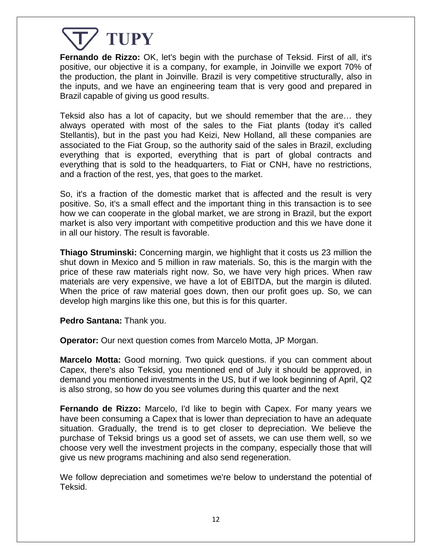

**Fernando de Rizzo:** OK, let's begin with the purchase of Teksid. First of all, it's positive, our objective it is a company, for example, in Joinville we export 70% of the production, the plant in Joinville. Brazil is very competitive structurally, also in the inputs, and we have an engineering team that is very good and prepared in Brazil capable of giving us good results.

Teksid also has a lot of capacity, but we should remember that the are… they always operated with most of the sales to the Fiat plants (today it's called Stellantis), but in the past you had Keizi, New Holland, all these companies are associated to the Fiat Group, so the authority said of the sales in Brazil, excluding everything that is exported, everything that is part of global contracts and everything that is sold to the headquarters, to Fiat or CNH, have no restrictions, and a fraction of the rest, yes, that goes to the market.

So, it's a fraction of the domestic market that is affected and the result is very positive. So, it's a small effect and the important thing in this transaction is to see how we can cooperate in the global market, we are strong in Brazil, but the export market is also very important with competitive production and this we have done it in all our history. The result is favorable.

**Thiago Struminski:** Concerning margin, we highlight that it costs us 23 million the shut down in Mexico and 5 million in raw materials. So, this is the margin with the price of these raw materials right now. So, we have very high prices. When raw materials are very expensive, we have a lot of EBITDA, but the margin is diluted. When the price of raw material goes down, then our profit goes up. So, we can develop high margins like this one, but this is for this quarter.

**Pedro Santana:** Thank you.

**Operator:** Our next question comes from Marcelo Motta, JP Morgan.

**Marcelo Motta:** Good morning. Two quick questions. if you can comment about Capex, there's also Teksid, you mentioned end of July it should be approved, in demand you mentioned investments in the US, but if we look beginning of April, Q2 is also strong, so how do you see volumes during this quarter and the next

**Fernando de Rizzo:** Marcelo, I'd like to begin with Capex. For many years we have been consuming a Capex that is lower than depreciation to have an adequate situation. Gradually, the trend is to get closer to depreciation. We believe the purchase of Teksid brings us a good set of assets, we can use them well, so we choose very well the investment projects in the company, especially those that will give us new programs machining and also send regeneration.

We follow depreciation and sometimes we're below to understand the potential of Teksid.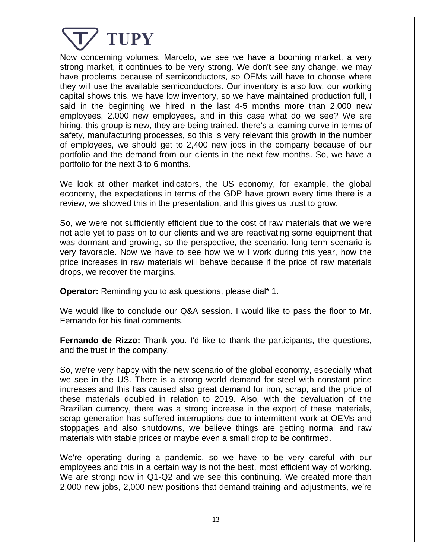

Now concerning volumes, Marcelo, we see we have a booming market, a very strong market, it continues to be very strong. We don't see any change, we may have problems because of semiconductors, so OEMs will have to choose where they will use the available semiconductors. Our inventory is also low, our working capital shows this, we have low inventory, so we have maintained production full, I said in the beginning we hired in the last 4-5 months more than 2.000 new employees, 2.000 new employees, and in this case what do we see? We are hiring, this group is new, they are being trained, there's a learning curve in terms of safety, manufacturing processes, so this is very relevant this growth in the number of employees, we should get to 2,400 new jobs in the company because of our portfolio and the demand from our clients in the next few months. So, we have a portfolio for the next 3 to 6 months.

We look at other market indicators, the US economy, for example, the global economy, the expectations in terms of the GDP have grown every time there is a review, we showed this in the presentation, and this gives us trust to grow.

So, we were not sufficiently efficient due to the cost of raw materials that we were not able yet to pass on to our clients and we are reactivating some equipment that was dormant and growing, so the perspective, the scenario, long-term scenario is very favorable. Now we have to see how we will work during this year, how the price increases in raw materials will behave because if the price of raw materials drops, we recover the margins.

**Operator:** Reminding you to ask questions, please dial\* 1.

We would like to conclude our Q&A session. I would like to pass the floor to Mr. Fernando for his final comments.

**Fernando de Rizzo:** Thank you. I'd like to thank the participants, the questions, and the trust in the company.

So, we're very happy with the new scenario of the global economy, especially what we see in the US. There is a strong world demand for steel with constant price increases and this has caused also great demand for iron, scrap, and the price of these materials doubled in relation to 2019. Also, with the devaluation of the Brazilian currency, there was a strong increase in the export of these materials, scrap generation has suffered interruptions due to intermittent work at OEMs and stoppages and also shutdowns, we believe things are getting normal and raw materials with stable prices or maybe even a small drop to be confirmed.

We're operating during a pandemic, so we have to be very careful with our employees and this in a certain way is not the best, most efficient way of working. We are strong now in Q1-Q2 and we see this continuing. We created more than 2,000 new jobs, 2,000 new positions that demand training and adjustments, we're